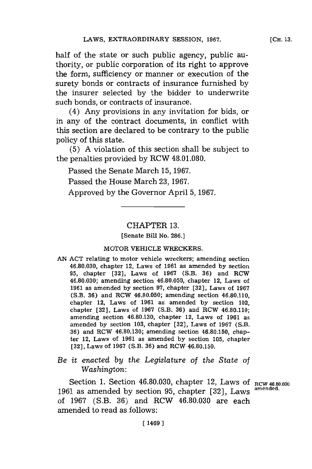half of the state or such public agency, public authority, or public corporation of its right to approve the form, sufficiency or manner or execution of the surety bonds or contracts of insurance furnished **by** the insurer selected **by** the bidder to underwrite such bonds, or contracts of insurance.

(4) Any provisions in any invitation for bids, or in any of the contract documents, in conflict with this section are declared to be contrary to the public policy of this state.

**(5) A** violation of this section shall be subject to the penalties provided **by** RCW **48.01.080.**

Passed the Senate March **15, 1967.**

Passed the House March **23, 1967.**

Approved **by** the Governor April **5, 1967.**

### CHAPTER **13.**

[Senate Bill No. **286.]**

### MOTOR **VEHICLE** WRECKERS.

**AN ACT** relating to motor vehicle wreckers; amending section **46.80.030,** chapter 12, Laws of **1961** as amended **by** section **95,** chapter **[32],** Laws of **1967** (S.B. **36)** and ROW **46.80.030;** amending section **46.80.050,** chapter 12, Laws of **1961** as amended **by** section **97,** chapter **[32],** Laws of **1967** (S.B. **36)** and ROW **46.80.050;** amending section 46.80.110, chapter 12, Laws of **1961** as amended **by** section 102, chapter **[32],** Laws of **1967** (S.B. **36)** and ROW 46.80.110; amending section **46.80.130,** chapter 12, Laws of **1961** as amended **by** section **103,** chapter **[32],** Laws of **1967** (S.B. **36)** and ROW **46.80.130;** amending section **46.80.150,** chapter 12, Laws of **1961** as amended **by** section **105,** chapter **[32],** Laws of **1967** (S.B. **36)** and ROW **46.80.150.**

# *Be it enacted by the Legislature of the State of Washington:*

Section 1. Section 46.80.030, chapter 12, Laws of RCW 46.80.030 **1961** as amended **by** section **95,** chapter **[32],** Laws **amended.** of **1967** (S.B. **36)** and RCW **46.80.030** are each amended to read as follows: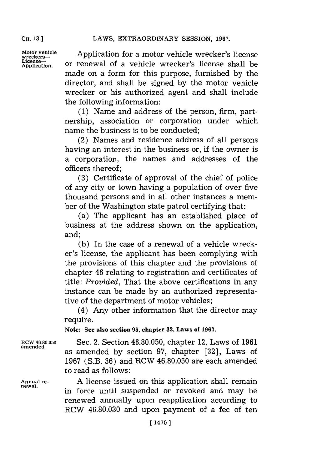**CH. 13.1**

Motor vehicle **Application for a motor vehicle wrecker's license** License—<br>Application. or renewal of a vehicle wrecker's license shall be made on a form for this purpose, furnished **by** the director, and shall be signed **by** the motor vehicle wrecker or his authorized agent and shall include the following information:

> **(1)** Name and address of the person, firm, partnership, association or corporation under which name the business is to be conducted;

> (2) Names and residence address of all persons having an interest in the business or, if the owner is a corporation, the names and addresses of the officers thereof;

> **(3)** Certificate of approval of the chief of police of any city or town having a population of over five thousand persons and in all other instances a member of the Washington state patrol certifying that:

> (a) The applicant has an established place of business at the address shown on the application, and;

> **(b)** In the case of a renewal of a vehicle wrecker's license, the applicant has been complying with the provisions of this chapter and the provisions of chapter 46 relating to registration and certificates of title: *Provided,* That the above certifications in any instance can be made **by** an authorized representative of the department of motor vehicles;

> (4) Any other information that the director may require.

**Note: See also section 95, chapter 32, Laws of 1967.**

**amended.**

**newal.**

ROW **46.80.050** Sec. 2. Section **46.80.050,** chapter 12, Laws of **1961** as amended **by** section **97,** chapter **[32],** Laws of **1967** (S.B. **36)** and RCW **46.80.050** are each amended to read as follows:

**Annual re- A** license issued on this application shall remain in force until suspended or revoked and may be renewed annually upon reapplication according to RCW **46.80.030** and upon payment of a fee of ten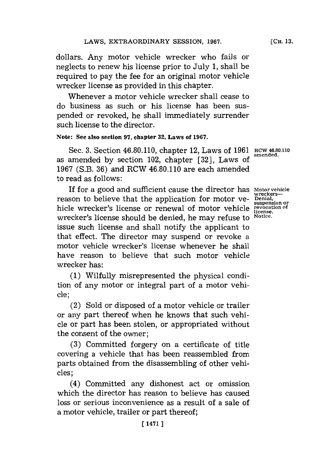dollars. Any motor vehicle wrecker who fails or neglects to renew his license prior to July **1,** shall be required to pay the fee for an original motor vehicle wrecker license as provided in this chapter.

Whenever a motor vehicle wrecker shall cease to do business as such or his license has been suspended or revoked, he shall immediately surrender such license to the director.

### **Note: See also section 97, chapter 32, Laws of 1967.**

Sec. 3. Section 46.80.110, chapter 12, Laws of 1961 RCW 46.80.110 amended. as amended by section 102, chapter [32], Laws of **1967** (S.B. **36)** and ROW 46.80.110 are each amended to read as follows:

If for a good and sufficient cause the director has **motor vehicle** reason to believe that the application for motor ve- <sup>benial</sup>, reason to believe that the application for motor ve-<br>suspension or hidle wrecker's license or renewal of motor vehicle **revocation of license.** wrecker's license should be denied, he may refuse to <sup>Notice</sup> issue such license and shall notify the applicant to that effect. The director may suspend or revoke a motor vehicle wrecker's license whenever he shall have reason to believe that such motor vehicle wrecker has:

**(1)** Wilfully misrepresented the physical condition of any motor or integral part of a motor vehicle;

(2) Sold or disposed of a motor vehicle or trailer or any part thereof when he knows that such vehicle or part has been stolen, or appropriated without the consent of the owner;

**(3)** Committed forgery on a certificate of title covering a vehicle that has been reassembled from parts obtained from the disassembling of other vehicles;

(4) Committed any dishonest act or omission which the director has reason to believe has caused loss or serious inconvenience as a result of a sale of a motor vehicle, trailer or part thereof;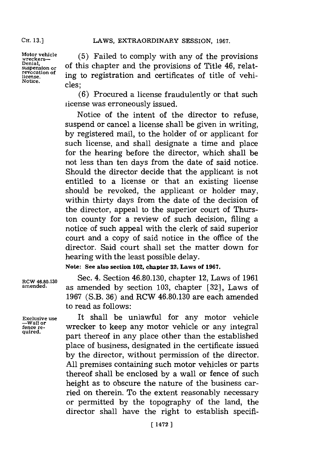**CH. 13.]**

**revocation of Notice.** cles;

Motor vehicle (5) Failed to comply with any of the provisions wreckers—<br>Denial,<br>suspension or of this chapter and the provisions of Title 46, relat**license.** ing to registration and certificates of title of vehi-

> **(6)** Procured a license fraudulently or that such license was erroneously issued.

> Notice of the intent of the director to refuse, suspend or cancel a license shall be given in writing, **by** registered mail, to the holder of or applicant for such license, and shall designate a time and place for the hearing before the director, which shall be not less than ten days from the date of said notice. Should the director decide that the applicant is not entitled to a license or that an existing license should be revoked, the applicant or holder may, within thirty days from the date of the decision of the director, appeal to the superior court of Thurston county for a review of such decision, filing a notice of such appeal with the clerk of said superior court and a copy of said notice in the office of the director. Said court shall set the matter down for hearing with the least possible delay.

**Note: See also section 102, chapter 32, Laws of 1967.**

**RCW 46.80.130** Sec. 4. Section **46.80.130,** chapter 12, Laws of **1961 amended,** as amended **by** section **103,** chapter **[32],** Laws of **1967** (S.B. **36)** and RCW **46.80.130** are each amended to read as follows:

**Exclusive use** It shall be unlawful for any motor vehicle **-Wall or fence re-** wrecker to keep any motor vehicle or any integral **quired.** part thereof in any place other than the established place of business, designated in the certificate issued **by** the director, without permission of the director. **All** premises containing such motor vehicles or parts thereof shall be enclosed **by** a wall or fence of such height as to obscure the nature of the business carried on therein. To the extent reasonably necessary or permitted **by** the topography of the land, the director shall have the right to establish specifi-